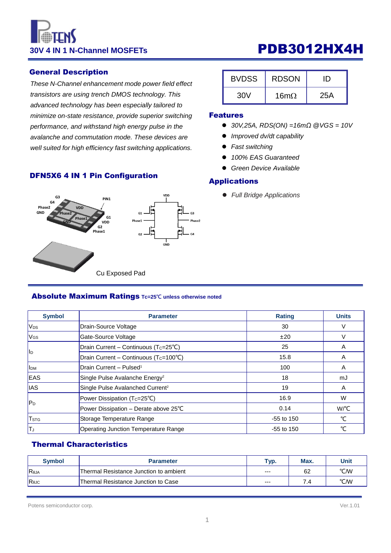# **30V 4 IN 1 N-Channel MOSFETs PDB3012HX4H**

#### General Description

*These N-Channel enhancement mode power field effect transistors are using trench DMOS technology. This advanced technology has been especially tailored to minimize on-state resistance, provide superior switching performance, and withstand high energy pulse in the avalanche and commutation mode. These devices are well suited for high efficiency fast switching applications.*

## DFN5X6 4 IN 1 Pin Configuration



#### Absolute Maximum Ratings **Tc=25℃ unless otherwise noted**

| <b>Symbol</b>            | <b>Parameter</b>                                   | <b>Rating</b> | <b>Units</b> |
|--------------------------|----------------------------------------------------|---------------|--------------|
| <b>V<sub>DS</sub></b>    | Drain-Source Voltage                               | 30            |              |
| <b>V<sub>GS</sub></b>    | Gate-Source Voltage                                | ±20           |              |
| <b>II</b> D              | Drain Current - Continuous (Tc=25°C)               | 25            | A            |
|                          | Drain Current - Continuous (T <sub>C</sub> =100°C) | 15.8          | A            |
| <b>I</b> I <sub>DM</sub> | <b>Drain Current - Pulsed<sup>1</sup></b>          | 100           | A            |
| <b>IEAS</b>              | Single Pulse Avalanche Energy <sup>2</sup>         | 18            | mJ           |
| <b>IAS</b>               | Single Pulse Avalanched Current <sup>2</sup>       | 19            | A            |
|                          | Power Dissipation (Tc=25°C)                        | 16.9          | W            |
| $ P_D $                  | Power Dissipation - Derate above 25°C              | 0.14          | W/°C         |
| <b>T</b> <sub>STG</sub>  | Storage Temperature Range                          | $-55$ to 150  | °C           |
| IТJ                      | Operating Junction Temperature Range               | $-55$ to 150  | °C           |

#### Thermal Characteristics

| <b>Symbol</b> | <b>Parameter</b>                       | Typ.  | Max. | Unit |
|---------------|----------------------------------------|-------|------|------|
| Reja          | Thermal Resistance Junction to ambient | $---$ | 62   | °C/W |
| ReJC          | Thermal Resistance Junction to Case    | $---$ | 7.4  | °C/W |

| <b>BVDSS</b> | <b>RDSON</b> | נ וו |  |  |
|--------------|--------------|------|--|--|
| 30V          | 16m $\Omega$ | 25A  |  |  |

#### Features

- *30V,25A, RDS(ON) =16mΩ @VGS = 10V*
- *Improved dv/dt capability*
- *Fast switching*
- *100% EAS Guaranteed*
- *Green Device Available*

#### Applications

*Full Bridge Applications*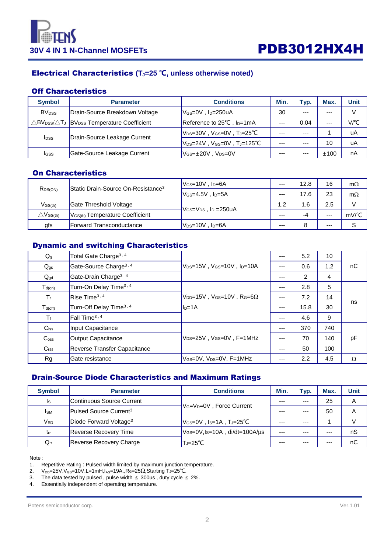

## Electrical Characteristics **(TJ=25 ℃, unless otherwise noted)**

#### Off Characteristics

| <b>Symbol</b>            | <b>Conditions</b><br><b>Parameter</b>                               |                                                 | Min.    | Typ.    | Max.    | Unit |
|--------------------------|---------------------------------------------------------------------|-------------------------------------------------|---------|---------|---------|------|
| <b>BV</b> <sub>DSS</sub> | Drain-Source Breakdown Voltage<br>$V$ <sub>GS</sub> =0V, $ID=250uA$ |                                                 | 30      | $- - -$ | $- - -$ | V    |
|                          | △BV <sub>DSS</sub> /△TJ  BV <sub>DSS</sub> Temperature Coefficient  | Reference to 25°C, I <sub>D</sub> =1mA          | $--$    | 0.04    | ---     | V/°C |
| <b>I</b> DSS             | Drain-Source Leakage Current                                        | $V_{DS}=30V$ , $V_{GS}=0V$ , $T_J=25^{\circ}C$  | $- - -$ | $- - -$ |         | uA   |
|                          |                                                                     | $V_{DS}=24V$ , $V_{GS}=0V$ , $T_J=125^{\circ}C$ | $- - -$ | $- - -$ | 10      | uA   |
| Igss                     | Gate-Source Leakage Current                                         | $V_{GS} = \pm 20V$ , $V_{DS} = 0V$              | ---     | $---$   | ±100    | nA   |

## On Characteristics

| R <sub>DS(ON)</sub>                | Static Drain-Source On-Resistance <sup>3</sup> | $V$ <sub>GS</sub> =10V, $ID=6A$                       | $--$  | 12.8 | 16    | $m\Omega$ |
|------------------------------------|------------------------------------------------|-------------------------------------------------------|-------|------|-------|-----------|
|                                    |                                                | $V$ Gs=4.5V . Ip=5A                                   | $---$ | 17.6 | 23    | $m\Omega$ |
| $V$ <sub>GS<math>(th)</math></sub> | Gate Threshold Voltage                         |                                                       | 1.2   | .6   | 2.5   |           |
| $\triangle\mathsf{V}$ GS(th)       | $V$ <sub>GS(th)</sub> Temperature Coefficient  | $V$ Gs= $V_{DS}$ , I <sub>D</sub> =250uA              |       | -4   | $---$ | mV/°C     |
| gfs                                | <b>Forward Transconductance</b>                | $\mathsf{IV}_{\mathsf{DS}}$ =10V , I $\mathsf{D}$ =6A | $---$ |      | ---   |           |

## Dynamic and switching Characteristics

| $Q_g$              | Total Gate Charge <sup>3, 4</sup>  |                                                                                                                             | $---$ | 5.2              | 10  |          |
|--------------------|------------------------------------|-----------------------------------------------------------------------------------------------------------------------------|-------|------------------|-----|----------|
| $Q_{gs}$           | Gate-Source Charge <sup>3, 4</sup> | $V_{DS}=15V$ , $V_{GS}=10V$ , $I_{D}=10A$                                                                                   |       | 0.6              | 1.2 | nC       |
| $Q_{gd}$           | Gate-Drain Charge <sup>3,4</sup>   |                                                                                                                             | $---$ | 2                | 4   |          |
| $T_{d(on)}$        | Turn-On Delay Time <sup>3, 4</sup> |                                                                                                                             |       | 2.8              | 5   |          |
| $T_{r}$            | Rise Time <sup>3, 4</sup>          | $V_{\text{DD}}$ =15V, V <sub>GS</sub> =10V, R <sub>G</sub> =6 $\Omega$<br>Turn-Off Delay Time <sup>3, 4</sup><br>$I_{D=1A}$ |       | 7.2              | 14  |          |
| $T_{d(off)}$       |                                    |                                                                                                                             |       | 15.8             | 30  | ns       |
| $T_f$              | [Fall Time <sup>3, 4</sup> ]       |                                                                                                                             | $---$ | 4.6              | 9   |          |
| $C$ <sub>iss</sub> | Input Capacitance                  |                                                                                                                             | $---$ | 370              | 740 |          |
| $C_{\rm oss}$      | Output Capacitance                 | $V_{DS}=25V$ , $V_{GS}=0V$ , $F=1MHz$                                                                                       |       | 70               | 140 | pF       |
| C <sub>rss</sub>   | Reverse Transfer Capacitance       |                                                                                                                             | $---$ | 50               | 100 |          |
| Rg                 | Gate resistance                    | V <sub>GS</sub> =0V, V <sub>DS</sub> =0V, F=1MHz                                                                            | ---   | $2.2\phantom{0}$ | 4.5 | $\Omega$ |

#### Drain-Source Diode Characteristics and Maximum Ratings

| <b>Symbol</b> | <b>Parameter</b>                                                   | <b>Conditions</b>                                 | Min.    | Typ.    | Max. | Unit |
|---------------|--------------------------------------------------------------------|---------------------------------------------------|---------|---------|------|------|
| Is            | Continuous Source Current                                          | V <sub>G</sub> =V <sub>D</sub> =0V, Force Current | $- - -$ | $- - -$ | 25   | A    |
| <b>I</b> sm   | Pulsed Source Current <sup>3</sup>                                 |                                                   | ---     | $- - -$ | 50   | Α    |
| $V_{SD}$      | Diode Forward Voltage <sup>3</sup><br>$V_{GS}=0V$ , Is=1A, TJ=25°C |                                                   | $- - -$ | $- - -$ |      |      |
| $t_{rr}$      | $V$ GS=0V,Is=10A, di/dt=100A/µs<br><b>Reverse Recovery Time</b>    |                                                   | $- - -$ | $- - -$ | ---  | nS   |
| $Q_{rr}$      | Reverse Recovery Charge                                            | T <sub>J</sub> =25°C                              |         | ---     | ---  | nC   |

Note :

1. Repetitive Rating : Pulsed width limited by maximum junction temperature.

 $2.$  V<sub>DD</sub>=25V, V<sub>GS</sub>=10V, L=1mH, I<sub>AS</sub>=19A., R<sub>G</sub>=25Ω, Starting T<sub>J</sub>=25°C.

3. The data tested by pulsed, pulse width  $\leq$  300us, duty cycle  $\leq$  2%.

4. Essentially independent of operating temperature.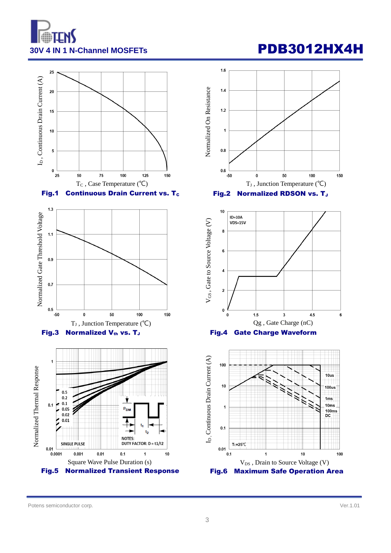









Potens semiconductor corp. Ver.1.01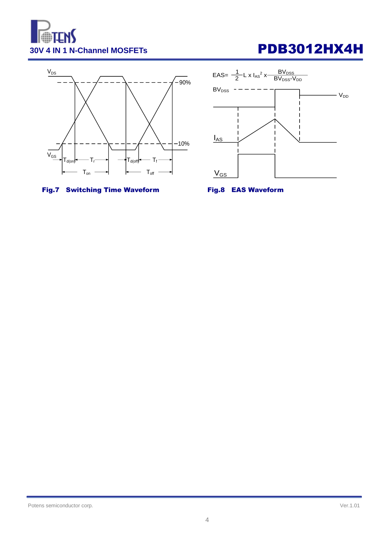





## Fig.7 Switching Time Waveform Fig.8 EAS Waveform



Potens semiconductor corp. Ver.1.01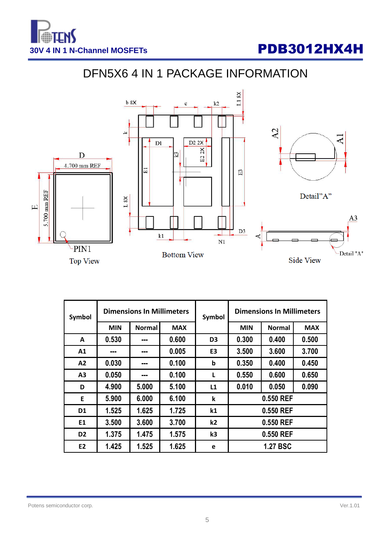

# DFN5X6 4 IN 1 PACKAGE INFORMATION



| Symbol         | <b>Dimensions In Millimeters</b> |               |            | Symbol         | <b>Dimensions In Millimeters</b> |               |            |  |
|----------------|----------------------------------|---------------|------------|----------------|----------------------------------|---------------|------------|--|
|                | <b>MIN</b>                       | <b>Normal</b> | <b>MAX</b> |                | <b>MIN</b>                       | <b>Normal</b> | <b>MAX</b> |  |
| Α              | 0.530                            | ---           | 0.600      | D <sub>3</sub> | 0.500<br>0.300<br>0.400          |               |            |  |
| A1             | ---                              | ---           | 0.005      | E <sub>3</sub> | 3.500<br>3.600<br>3.700          |               |            |  |
| A2             | 0.030                            | ---           | 0.100      | $\mathbf b$    | 0.400<br>0.450<br>0.350          |               |            |  |
| A3             | 0.050                            | ---           | 0.100      | L              | 0.650<br>0.550<br>0.600          |               |            |  |
| D              | 4.900                            | 5.000         | 5.100      | L1             | 0.010<br>0.090<br>0.050          |               |            |  |
| E              | 5.900                            | 6.000         | 6.100      | k              |                                  | 0.550 REF     |            |  |
| D <sub>1</sub> | 1.525                            | 1.625         | 1.725      | k1             | 0.550 REF                        |               |            |  |
| E1             | 3.500                            | 3.600         | 3.700      | k2             | 0.550 REF                        |               |            |  |
| D <sub>2</sub> | 1.375                            | 1.475         | 1.575      | k <sub>3</sub> | 0.550 REF                        |               |            |  |
| E <sub>2</sub> | 1.425                            | 1.525         | 1.625      | e              | <b>1.27 BSC</b>                  |               |            |  |

#### Potens semiconductor corp. Ver.1.01